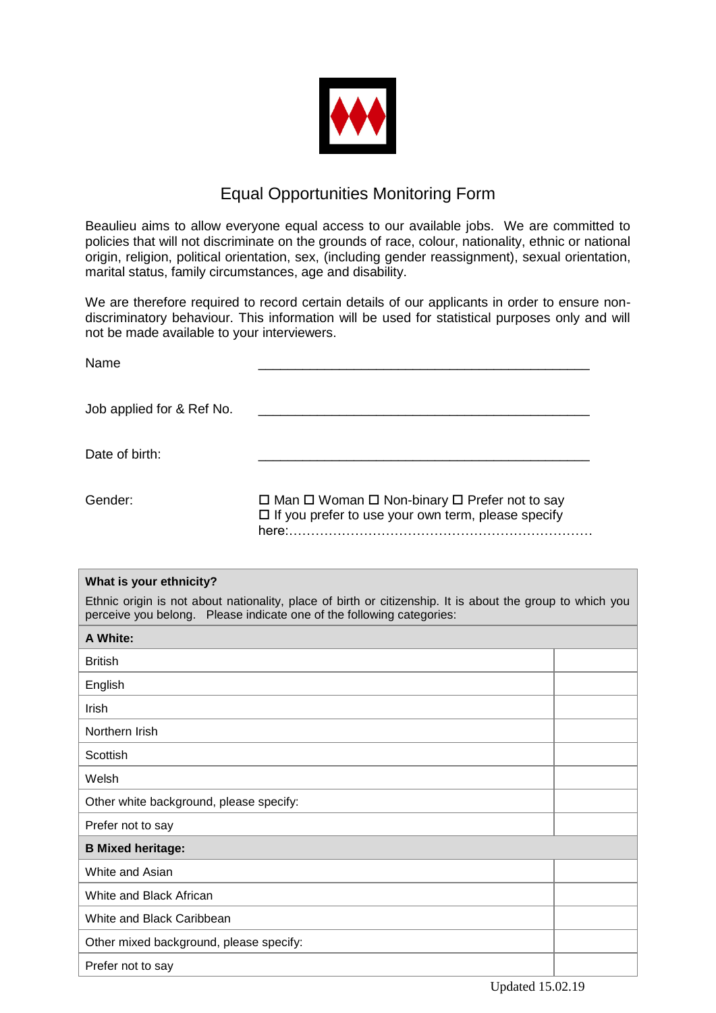

## Equal Opportunities Monitoring Form

Beaulieu aims to allow everyone equal access to our available jobs. We are committed to policies that will not discriminate on the grounds of race, colour, nationality, ethnic or national origin, religion, political orientation, sex, (including gender reassignment), sexual orientation, marital status, family circumstances, age and disability.

We are therefore required to record certain details of our applicants in order to ensure nondiscriminatory behaviour. This information will be used for statistical purposes only and will not be made available to your interviewers.

| Name                      |                                                                                                                                                                                                                                                                                                                                                                   |
|---------------------------|-------------------------------------------------------------------------------------------------------------------------------------------------------------------------------------------------------------------------------------------------------------------------------------------------------------------------------------------------------------------|
| Job applied for & Ref No. |                                                                                                                                                                                                                                                                                                                                                                   |
| Date of birth:            |                                                                                                                                                                                                                                                                                                                                                                   |
| Gender:                   | $\Box$ Man $\Box$ Woman $\Box$ Non-binary $\Box$ Prefer not to say<br>$\Box$ If you prefer to use your own term, please specify<br>here and the contract of the contract of the contract of the contract of the contract of the contract of the contract of the contract of the contract of the contract of the contract of the contract of the contract of the c |

| What is your ethnicity?                                                                                                                                                            |  |  |
|------------------------------------------------------------------------------------------------------------------------------------------------------------------------------------|--|--|
| Ethnic origin is not about nationality, place of birth or citizenship. It is about the group to which you<br>perceive you belong. Please indicate one of the following categories: |  |  |
| A White:                                                                                                                                                                           |  |  |
| <b>British</b>                                                                                                                                                                     |  |  |
| English                                                                                                                                                                            |  |  |
| Irish                                                                                                                                                                              |  |  |
| Northern Irish                                                                                                                                                                     |  |  |
| Scottish                                                                                                                                                                           |  |  |
| Welsh                                                                                                                                                                              |  |  |
| Other white background, please specify:                                                                                                                                            |  |  |
| Prefer not to say                                                                                                                                                                  |  |  |
| <b>B Mixed heritage:</b>                                                                                                                                                           |  |  |
| White and Asian                                                                                                                                                                    |  |  |
| White and Black African                                                                                                                                                            |  |  |
| White and Black Caribbean                                                                                                                                                          |  |  |
| Other mixed background, please specify:                                                                                                                                            |  |  |
| Prefer not to say                                                                                                                                                                  |  |  |
|                                                                                                                                                                                    |  |  |